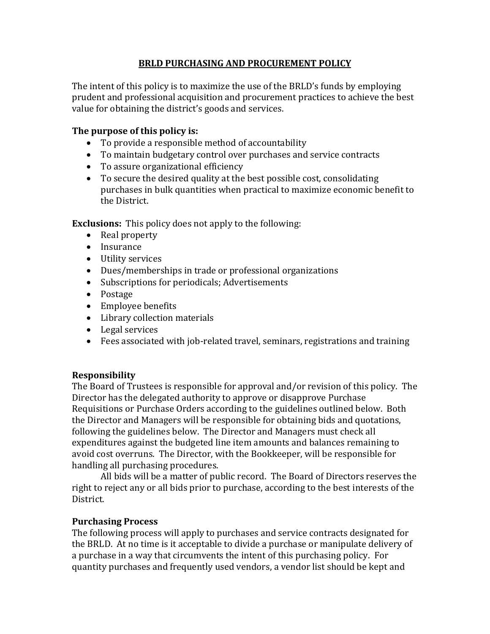#### **BRLD PURCHASING AND PROCUREMENT POLICY**

The intent of this policy is to maximize the use of the BRLD's funds by employing prudent and professional acquisition and procurement practices to achieve the best value for obtaining the district's goods and services.

#### **The purpose of this policy is:**

- To provide a responsible method of accountability
- To maintain budgetary control over purchases and service contracts
- To assure organizational efficiency
- To secure the desired quality at the best possible cost, consolidating purchases in bulk quantities when practical to maximize economic benefit to the District.

**Exclusions:** This policy does not apply to the following:

- Real property
- Insurance
- Utility services
- Dues/memberships in trade or professional organizations
- Subscriptions for periodicals; Advertisements
- Postage
- Employee benefits
- Library collection materials
- Legal services
- Fees associated with job-related travel, seminars, registrations and training

### **Responsibility**

The Board of Trustees is responsible for approval and/or revision of this policy. The Director has the delegated authority to approve or disapprove Purchase Requisitions or Purchase Orders according to the guidelines outlined below. Both the Director and Managers will be responsible for obtaining bids and quotations, following the guidelines below. The Director and Managers must check all expenditures against the budgeted line item amounts and balances remaining to avoid cost overruns. The Director, with the Bookkeeper, will be responsible for handling all purchasing procedures.

All bids will be a matter of public record. The Board of Directors reserves the right to reject any or all bids prior to purchase, according to the best interests of the District.

### **Purchasing Process**

The following process will apply to purchases and service contracts designated for the BRLD. At no time is it acceptable to divide a purchase or manipulate delivery of a purchase in a way that circumvents the intent of this purchasing policy. For quantity purchases and frequently used vendors, a vendor list should be kept and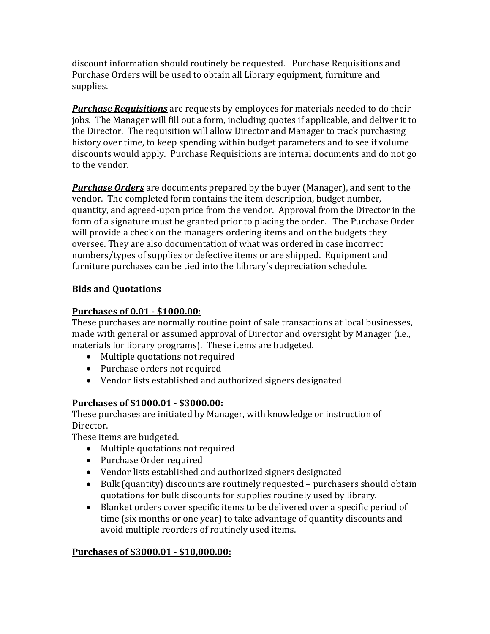discount information should routinely be requested. Purchase Requisitions and Purchase Orders will be used to obtain all Library equipment, furniture and supplies.

*Purchase Requisitions* are requests by employees for materials needed to do their jobs. The Manager will fill out a form, including quotes if applicable, and deliver it to the Director. The requisition will allow Director and Manager to track purchasing history over time, to keep spending within budget parameters and to see if volume discounts would apply. Purchase Requisitions are internal documents and do not go to the vendor.

*Purchase Orders* are documents prepared by the buyer (Manager), and sent to the vendor. The completed form contains the item description, budget number, quantity, and agreed-upon price from the vendor. Approval from the Director in the form of a signature must be granted prior to placing the order. The Purchase Order will provide a check on the managers ordering items and on the budgets they oversee. They are also documentation of what was ordered in case incorrect numbers/types of supplies or defective items or are shipped. Equipment and furniture purchases can be tied into the Library's depreciation schedule.

### **Bids and Quotations**

## **Purchases of 0.01 - \$1000.00**:

These purchases are normally routine point of sale transactions at local businesses, made with general or assumed approval of Director and oversight by Manager (i.e., materials for library programs). These items are budgeted.

- Multiple quotations not required
- Purchase orders not required
- Vendor lists established and authorized signers designated

### **Purchases of \$1000.01 - \$3000.00:**

These purchases are initiated by Manager, with knowledge or instruction of Director.

These items are budgeted.

- Multiple quotations not required
- Purchase Order required
- Vendor lists established and authorized signers designated
- Bulk (quantity) discounts are routinely requested purchasers should obtain quotations for bulk discounts for supplies routinely used by library.
- Blanket orders cover specific items to be delivered over a specific period of time (six months or one year) to take advantage of quantity discounts and avoid multiple reorders of routinely used items.

# **Purchases of \$3000.01 - \$10,000.00:**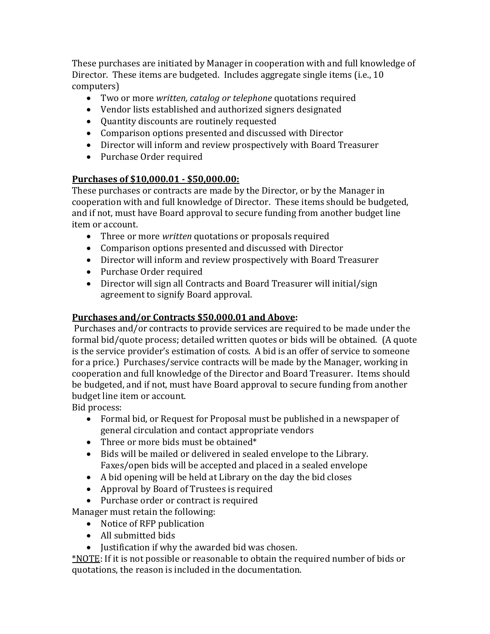These purchases are initiated by Manager in cooperation with and full knowledge of Director. These items are budgeted. Includes aggregate single items (i.e., 10 computers)

- Two or more *written, catalog or telephone* quotations required
- Vendor lists established and authorized signers designated
- Quantity discounts are routinely requested
- Comparison options presented and discussed with Director
- Director will inform and review prospectively with Board Treasurer
- Purchase Order required

### **Purchases of \$10,000.01 - \$50,000.00:**

These purchases or contracts are made by the Director, or by the Manager in cooperation with and full knowledge of Director. These items should be budgeted, and if not, must have Board approval to secure funding from another budget line item or account.

- Three or more *written* quotations or proposals required
- Comparison options presented and discussed with Director
- Director will inform and review prospectively with Board Treasurer
- Purchase Order required
- Director will sign all Contracts and Board Treasurer will initial/sign agreement to signify Board approval.

# **Purchases and/or Contracts \$50,000.01 and Above:**

Purchases and/or contracts to provide services are required to be made under the formal bid/quote process; detailed written quotes or bids will be obtained. (A quote is the service provider's estimation of costs. A bid is an offer of service to someone for a price.) Purchases/service contracts will be made by the Manager, working in cooperation and full knowledge of the Director and Board Treasurer. Items should be budgeted, and if not, must have Board approval to secure funding from another budget line item or account.

Bid process:

- Formal bid, or Request for Proposal must be published in a newspaper of general circulation and contact appropriate vendors
- Three or more bids must be obtained\*
- Bids will be mailed or delivered in sealed envelope to the Library. Faxes/open bids will be accepted and placed in a sealed envelope
- A bid opening will be held at Library on the day the bid closes
- Approval by Board of Trustees is required
- Purchase order or contract is required

Manager must retain the following:

- Notice of RFP publication
- All submitted bids
- Justification if why the awarded bid was chosen.

\*NOTE: If it is not possible or reasonable to obtain the required number of bids or quotations, the reason is included in the documentation.